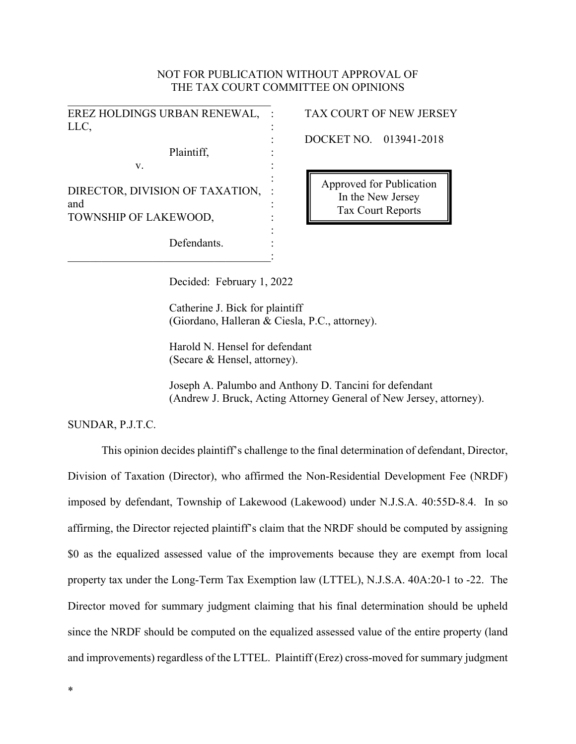# NOT FOR PUBLICATION WITHOUT APPROVAL OF THE TAX COURT COMMITTEE ON OPINIONS

| EREZ HOLDINGS URBAN RENEWAL,<br>LLC,   |  |
|----------------------------------------|--|
| Plaintiff,<br>V.                       |  |
| DIRECTOR, DIVISION OF TAXATION,<br>and |  |
| TOWNSHIP OF LAKEWOOD,                  |  |
| Defendants.                            |  |

# TAX COURT OF NEW JERSEY

: DOCKET NO. 013941-2018

: Approved for Publication In the New Jersey Tax Court Reports

Decided: February 1, 2022

Catherine J. Bick for plaintiff (Giordano, Halleran & Ciesla, P.C., attorney).

Harold N. Hensel for defendant (Secare & Hensel, attorney).

Joseph A. Palumbo and Anthony D. Tancini for defendant (Andrew J. Bruck, Acting Attorney General of New Jersey, attorney).

## SUNDAR, P.J.T.C.

This opinion decides plaintiff's challenge to the final determination of defendant, Director, Division of Taxation (Director), who affirmed the Non-Residential Development Fee (NRDF) imposed by defendant, Township of Lakewood (Lakewood) under N.J.S.A. 40:55D-8.4. In so affirming, the Director rejected plaintiff's claim that the NRDF should be computed by assigning \$0 as the equalized assessed value of the improvements because they are exempt from local property tax under the Long-Term Tax Exemption law (LTTEL), N.J.S.A. 40A:20-1 to -22. The Director moved for summary judgment claiming that his final determination should be upheld since the NRDF should be computed on the equalized assessed value of the entire property (land and improvements) regardless of the LTTEL. Plaintiff (Erez) cross-moved for summary judgment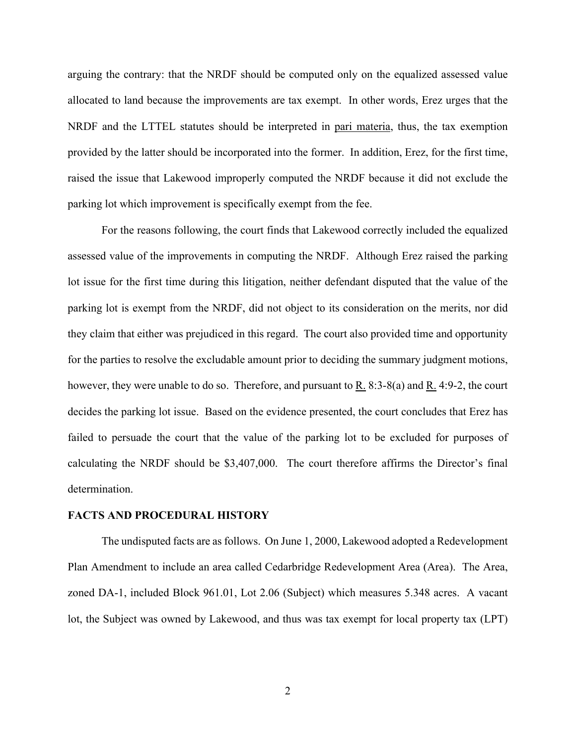arguing the contrary: that the NRDF should be computed only on the equalized assessed value allocated to land because the improvements are tax exempt. In other words, Erez urges that the NRDF and the LTTEL statutes should be interpreted in pari materia, thus, the tax exemption provided by the latter should be incorporated into the former. In addition, Erez, for the first time, raised the issue that Lakewood improperly computed the NRDF because it did not exclude the parking lot which improvement is specifically exempt from the fee.

For the reasons following, the court finds that Lakewood correctly included the equalized assessed value of the improvements in computing the NRDF. Although Erez raised the parking lot issue for the first time during this litigation, neither defendant disputed that the value of the parking lot is exempt from the NRDF, did not object to its consideration on the merits, nor did they claim that either was prejudiced in this regard. The court also provided time and opportunity for the parties to resolve the excludable amount prior to deciding the summary judgment motions, however, they were unable to do so. Therefore, and pursuant to R. 8:3-8(a) and R. 4:9-2, the court decides the parking lot issue. Based on the evidence presented, the court concludes that Erez has failed to persuade the court that the value of the parking lot to be excluded for purposes of calculating the NRDF should be \$3,407,000. The court therefore affirms the Director's final determination.

#### **FACTS AND PROCEDURAL HISTORY**

The undisputed facts are as follows. On June 1, 2000, Lakewood adopted a Redevelopment Plan Amendment to include an area called Cedarbridge Redevelopment Area (Area). The Area, zoned DA-1, included Block 961.01, Lot 2.06 (Subject) which measures 5.348 acres. A vacant lot, the Subject was owned by Lakewood, and thus was tax exempt for local property tax (LPT)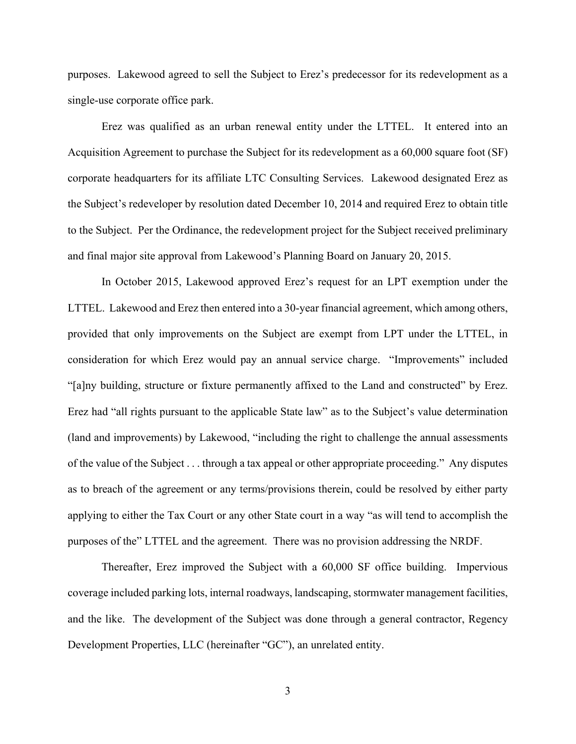purposes. Lakewood agreed to sell the Subject to Erez's predecessor for its redevelopment as a single-use corporate office park.

Erez was qualified as an urban renewal entity under the LTTEL. It entered into an Acquisition Agreement to purchase the Subject for its redevelopment as a 60,000 square foot (SF) corporate headquarters for its affiliate LTC Consulting Services. Lakewood designated Erez as the Subject's redeveloper by resolution dated December 10, 2014 and required Erez to obtain title to the Subject. Per the Ordinance, the redevelopment project for the Subject received preliminary and final major site approval from Lakewood's Planning Board on January 20, 2015.

In October 2015, Lakewood approved Erez's request for an LPT exemption under the LTTEL. Lakewood and Erez then entered into a 30-year financial agreement, which among others, provided that only improvements on the Subject are exempt from LPT under the LTTEL, in consideration for which Erez would pay an annual service charge. "Improvements" included "[a]ny building, structure or fixture permanently affixed to the Land and constructed" by Erez. Erez had "all rights pursuant to the applicable State law" as to the Subject's value determination (land and improvements) by Lakewood, "including the right to challenge the annual assessments of the value of the Subject . . . through a tax appeal or other appropriate proceeding." Any disputes as to breach of the agreement or any terms/provisions therein, could be resolved by either party applying to either the Tax Court or any other State court in a way "as will tend to accomplish the purposes of the" LTTEL and the agreement. There was no provision addressing the NRDF.

Thereafter, Erez improved the Subject with a 60,000 SF office building. Impervious coverage included parking lots, internal roadways, landscaping, stormwater management facilities, and the like. The development of the Subject was done through a general contractor, Regency Development Properties, LLC (hereinafter "GC"), an unrelated entity.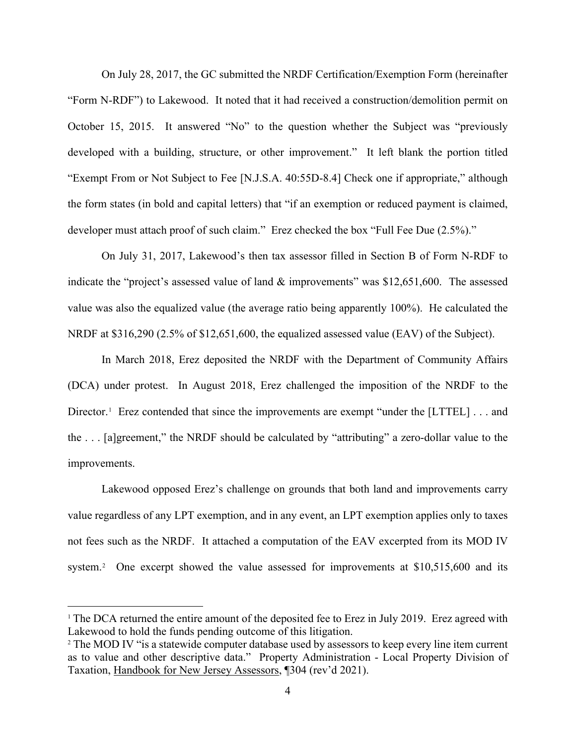On July 28, 2017, the GC submitted the NRDF Certification/Exemption Form (hereinafter "Form N-RDF") to Lakewood. It noted that it had received a construction/demolition permit on October 15, 2015. It answered "No" to the question whether the Subject was "previously developed with a building, structure, or other improvement." It left blank the portion titled "Exempt From or Not Subject to Fee [N.J.S.A. 40:55D-8.4] Check one if appropriate," although the form states (in bold and capital letters) that "if an exemption or reduced payment is claimed, developer must attach proof of such claim." Erez checked the box "Full Fee Due (2.5%)."

On July 31, 2017, Lakewood's then tax assessor filled in Section B of Form N-RDF to indicate the "project's assessed value of land & improvements" was \$12,651,600. The assessed value was also the equalized value (the average ratio being apparently 100%). He calculated the NRDF at \$316,290 (2.5% of \$12,651,600, the equalized assessed value (EAV) of the Subject).

In March 2018, Erez deposited the NRDF with the Department of Community Affairs (DCA) under protest. In August 2018, Erez challenged the imposition of the NRDF to the Director.<sup>[1](#page-3-0)</sup> Erez contended that since the improvements are exempt "under the [LTTEL] . . . and the . . . [a]greement," the NRDF should be calculated by "attributing" a zero-dollar value to the improvements.

Lakewood opposed Erez's challenge on grounds that both land and improvements carry value regardless of any LPT exemption, and in any event, an LPT exemption applies only to taxes not fees such as the NRDF. It attached a computation of the EAV excerpted from its MOD IV system.<sup>[2](#page-3-1)</sup> One excerpt showed the value assessed for improvements at \$10,515,600 and its

<span id="page-3-0"></span><sup>&</sup>lt;sup>1</sup> The DCA returned the entire amount of the deposited fee to Erez in July 2019. Erez agreed with Lakewood to hold the funds pending outcome of this litigation.

<span id="page-3-1"></span><sup>&</sup>lt;sup>2</sup> The MOD IV "is a statewide computer database used by assessors to keep every line item current as to value and other descriptive data." Property Administration - Local Property Division of Taxation, Handbook for New Jersey Assessors, ¶304 (rev'd 2021).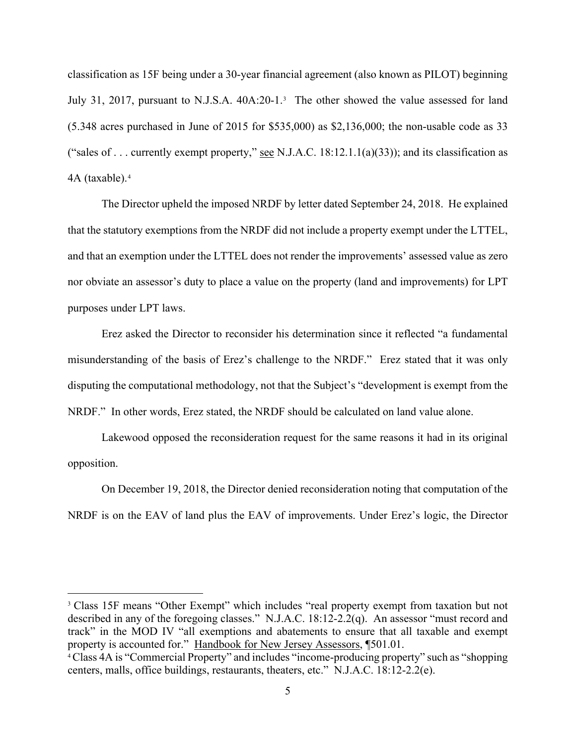classification as 15F being under a 30-year financial agreement (also known as PILOT) beginning July [3](#page-4-0)1, 2017, pursuant to N.J.S.A. 40A:20-1.<sup>3</sup> The other showed the value assessed for land (5.348 acres purchased in June of 2015 for \$535,000) as \$2,136,000; the non-usable code as 33 ("sales of . . . currently exempt property," see N.J.A.C.  $18:12.1.1(a)(33)$ ); and its classification as 4A (taxable).[4](#page-4-1)

The Director upheld the imposed NRDF by letter dated September 24, 2018. He explained that the statutory exemptions from the NRDF did not include a property exempt under the LTTEL, and that an exemption under the LTTEL does not render the improvements' assessed value as zero nor obviate an assessor's duty to place a value on the property (land and improvements) for LPT purposes under LPT laws.

Erez asked the Director to reconsider his determination since it reflected "a fundamental misunderstanding of the basis of Erez's challenge to the NRDF." Erez stated that it was only disputing the computational methodology, not that the Subject's "development is exempt from the NRDF." In other words, Erez stated, the NRDF should be calculated on land value alone.

Lakewood opposed the reconsideration request for the same reasons it had in its original opposition.

On December 19, 2018, the Director denied reconsideration noting that computation of the NRDF is on the EAV of land plus the EAV of improvements. Under Erez's logic, the Director

<span id="page-4-0"></span><sup>&</sup>lt;sup>3</sup> Class 15F means "Other Exempt" which includes "real property exempt from taxation but not described in any of the foregoing classes." N.J.A.C. 18:12-2.2(q). An assessor "must record and track" in the MOD IV "all exemptions and abatements to ensure that all taxable and exempt property is accounted for." Handbook for New Jersey Assessors, ¶501.01.

<span id="page-4-1"></span><sup>&</sup>lt;sup>4</sup> Class 4A is "Commercial Property" and includes "income-producing property" such as "shopping centers, malls, office buildings, restaurants, theaters, etc." N.J.A.C. 18:12-2.2(e).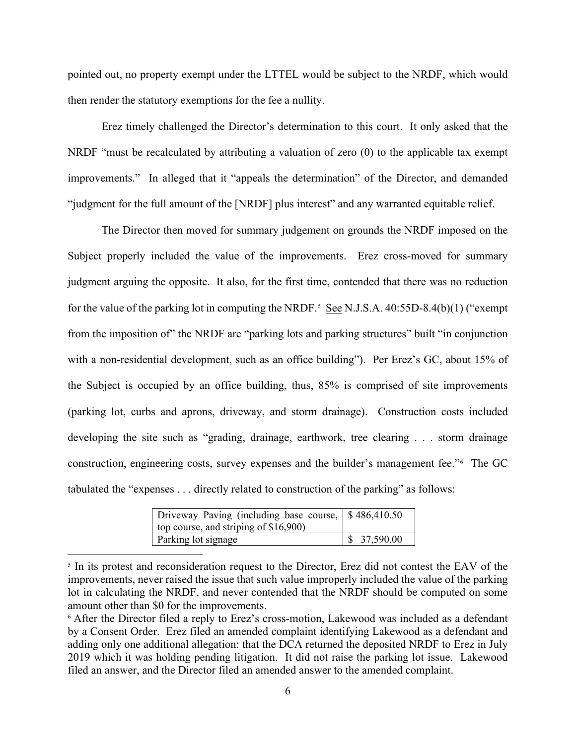pointed out, no property exempt under the LTTEL would be subject to the NRDF, which would then render the statutory exemptions for the fee a nullity.

Erez timely challenged the Director's determination to this court. It only asked that the NRDF "must be recalculated by attributing a valuation of zero (0) to the applicable tax exempt improvements." In alleged that it "appeals the determination" of the Director, and demanded "judgment for the full amount of the [NRDF] plus interest" and any warranted equitable relief.

The Director then moved for summary judgement on grounds the NRDF imposed on the Subject properly included the value of the improvements. Erez cross-moved for summary judgment arguing the opposite. It also, for the first time, contended that there was no reduction for the value of the parking lot in computing the NRDF.<sup>[5](#page-5-0)</sup> See N.J.S.A.  $40:55D-8.4(b)(1)$  ("exempt from the imposition of" the NRDF are "parking lots and parking structures" built "in conjunction with a non-residential development, such as an office building"). Per Erez's GC, about 15% of the Subject is occupied by an office building, thus, 85% is comprised of site improvements (parking lot, curbs and aprons, driveway, and storm drainage). Construction costs included developing the site such as "grading, drainage, earthwork, tree clearing . . . storm drainage construction, engineering costs, survey expenses and the builder's management fee."[6](#page-5-1) The GC tabulated the "expenses . . . directly related to construction of the parking" as follows:

| Driveway Paving (including base course, \$486,410.50) |             |
|-------------------------------------------------------|-------------|
| top course, and striping of $$16,900$ )               |             |
| Parking lot signage                                   | \$37,590.00 |

<span id="page-5-0"></span><sup>&</sup>lt;sup>5</sup> In its protest and reconsideration request to the Director, Erez did not contest the EAV of the improvements, never raised the issue that such value improperly included the value of the parking lot in calculating the NRDF, and never contended that the NRDF should be computed on some amount other than \$0 for the improvements.

<span id="page-5-1"></span><sup>6</sup> After the Director filed a reply to Erez's cross-motion, Lakewood was included as a defendant by a Consent Order. Erez filed an amended complaint identifying Lakewood as a defendant and adding only one additional allegation: that the DCA returned the deposited NRDF to Erez in July 2019 which it was holding pending litigation. It did not raise the parking lot issue. Lakewood filed an answer, and the Director filed an amended answer to the amended complaint.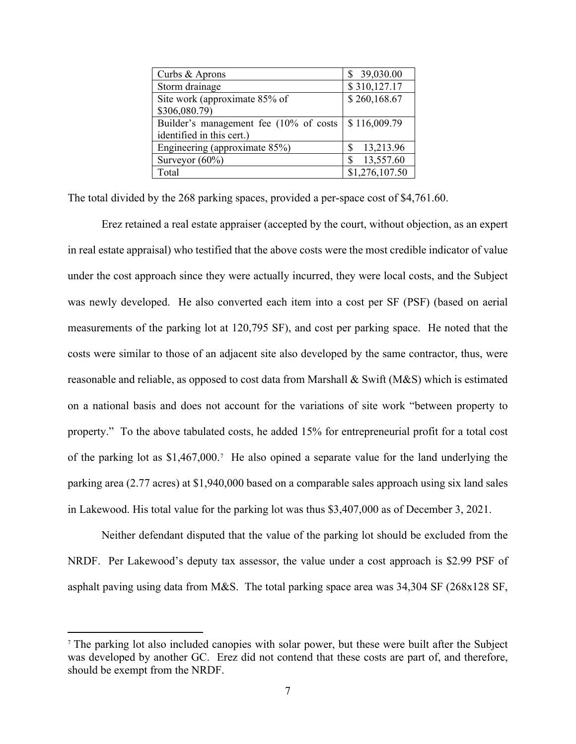| Curbs & Aprons                         | 39,030.00      |
|----------------------------------------|----------------|
| Storm drainage                         | \$310,127.17   |
| Site work (approximate 85% of          | \$260,168.67   |
| \$306,080.79)                          |                |
| Builder's management fee (10% of costs | \$116,009.79   |
| identified in this cert.)              |                |
| Engineering (approximate 85%)          | 13,213.96      |
| Surveyor $(60\%)$                      | 13,557.60      |
| Total                                  | \$1,276,107.50 |

The total divided by the 268 parking spaces, provided a per-space cost of \$4,761.60.

Erez retained a real estate appraiser (accepted by the court, without objection, as an expert in real estate appraisal) who testified that the above costs were the most credible indicator of value under the cost approach since they were actually incurred, they were local costs, and the Subject was newly developed. He also converted each item into a cost per SF (PSF) (based on aerial measurements of the parking lot at 120,795 SF), and cost per parking space. He noted that the costs were similar to those of an adjacent site also developed by the same contractor, thus, were reasonable and reliable, as opposed to cost data from Marshall & Swift (M&S) which is estimated on a national basis and does not account for the variations of site work "between property to property." To the above tabulated costs, he added 15% for entrepreneurial profit for a total cost of the parking lot as \$1,467,000.[7](#page-6-0) He also opined a separate value for the land underlying the parking area (2.77 acres) at \$1,940,000 based on a comparable sales approach using six land sales in Lakewood. His total value for the parking lot was thus \$3,407,000 as of December 3, 2021.

Neither defendant disputed that the value of the parking lot should be excluded from the NRDF. Per Lakewood's deputy tax assessor, the value under a cost approach is \$2.99 PSF of asphalt paving using data from M&S. The total parking space area was 34,304 SF (268x128 SF,

<span id="page-6-0"></span><sup>7</sup> The parking lot also included canopies with solar power, but these were built after the Subject was developed by another GC. Erez did not contend that these costs are part of, and therefore, should be exempt from the NRDF.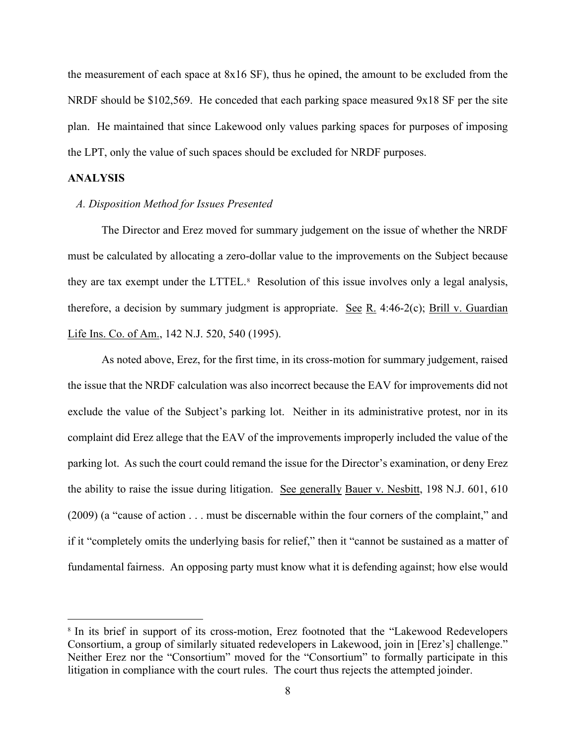the measurement of each space at 8x16 SF), thus he opined, the amount to be excluded from the NRDF should be  $$102,569$ . He conceded that each parking space measured 9x18 SF per the site plan. He maintained that since Lakewood only values parking spaces for purposes of imposing the LPT, only the value of such spaces should be excluded for NRDF purposes.

### **ANALYSIS**

#### *A. Disposition Method for Issues Presented*

The Director and Erez moved for summary judgement on the issue of whether the NRDF must be calculated by allocating a zero-dollar value to the improvements on the Subject because they are tax exempt under the LTTEL.<sup>[8](#page-7-0)</sup> Resolution of this issue involves only a legal analysis, therefore, a decision by summary judgment is appropriate. See R. 4:46-2(c); Brill v. Guardian Life Ins. Co. of Am., 142 N.J. 520, 540 (1995).

As noted above, Erez, for the first time, in its cross-motion for summary judgement, raised the issue that the NRDF calculation was also incorrect because the EAV for improvements did not exclude the value of the Subject's parking lot. Neither in its administrative protest, nor in its complaint did Erez allege that the EAV of the improvements improperly included the value of the parking lot. As such the court could remand the issue for the Director's examination, or deny Erez the ability to raise the issue during litigation. See generally Bauer v. Nesbitt, 198 N.J. 601, 610 (2009) (a "cause of action . . . must be discernable within the four corners of the complaint," and if it "completely omits the underlying basis for relief," then it "cannot be sustained as a matter of fundamental fairness. An opposing party must know what it is defending against; how else would

<span id="page-7-0"></span><sup>&</sup>lt;sup>8</sup> In its brief in support of its cross-motion, Erez footnoted that the "Lakewood Redevelopers" Consortium, a group of similarly situated redevelopers in Lakewood, join in [Erez's] challenge." Neither Erez nor the "Consortium" moved for the "Consortium" to formally participate in this litigation in compliance with the court rules. The court thus rejects the attempted joinder.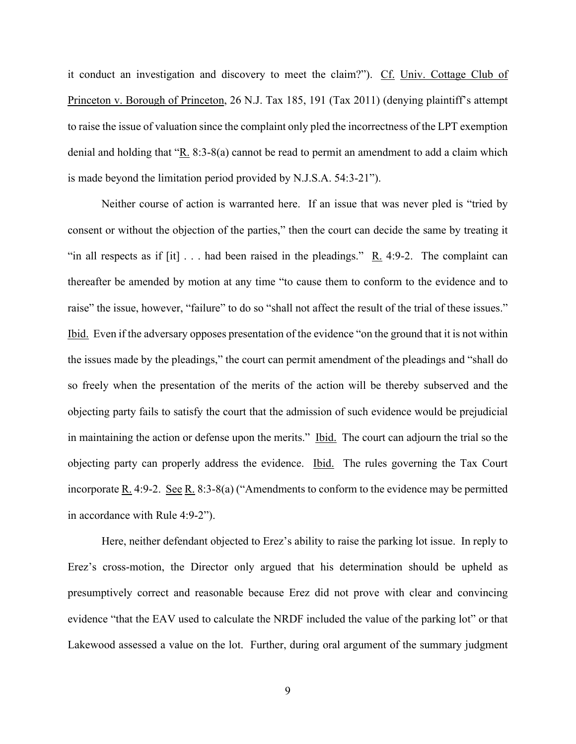it conduct an investigation and discovery to meet the claim?"). Cf. Univ. Cottage Club of Princeton v. Borough of Princeton, 26 N.J. Tax 185, 191 (Tax 2011) (denying plaintiff's attempt to raise the issue of valuation since the complaint only pled the incorrectness of the LPT exemption denial and holding that "R. 8:3-8(a) cannot be read to permit an amendment to add a claim which is made beyond the limitation period provided by N.J.S.A. 54:3-21").

Neither course of action is warranted here. If an issue that was never pled is "tried by consent or without the objection of the parties," then the court can decide the same by treating it "in all respects as if  $[it] \ldots$  had been raised in the pleadings." R. 4:9-2. The complaint can thereafter be amended by motion at any time "to cause them to conform to the evidence and to raise" the issue, however, "failure" to do so "shall not affect the result of the trial of these issues." Ibid. Even if the adversary opposes presentation of the evidence "on the ground that it is not within the issues made by the pleadings," the court can permit amendment of the pleadings and "shall do so freely when the presentation of the merits of the action will be thereby subserved and the objecting party fails to satisfy the court that the admission of such evidence would be prejudicial in maintaining the action or defense upon the merits." Ibid. The court can adjourn the trial so the objecting party can properly address the evidence. Ibid. The rules governing the Tax Court incorporate <u>R.</u> 4:9-2. See R. 8:3-8(a) ("Amendments to conform to the evidence may be permitted in accordance with Rule 4:9-2").

Here, neither defendant objected to Erez's ability to raise the parking lot issue. In reply to Erez's cross-motion, the Director only argued that his determination should be upheld as presumptively correct and reasonable because Erez did not prove with clear and convincing evidence "that the EAV used to calculate the NRDF included the value of the parking lot" or that Lakewood assessed a value on the lot. Further, during oral argument of the summary judgment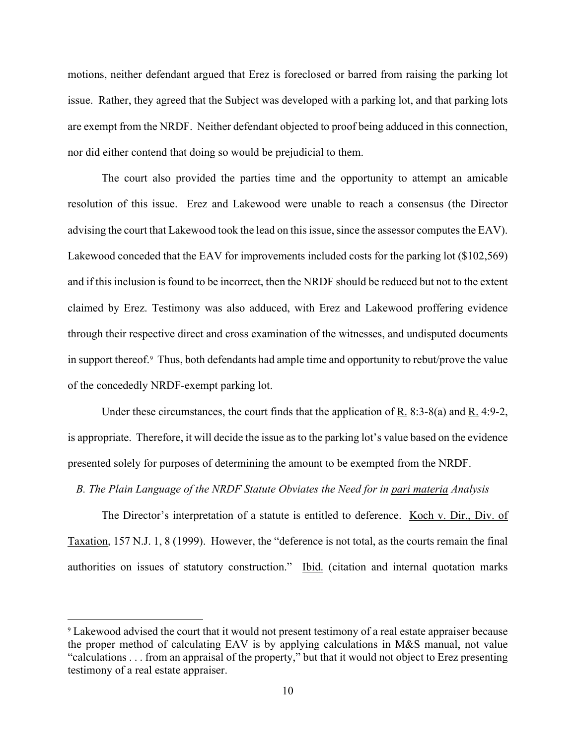motions, neither defendant argued that Erez is foreclosed or barred from raising the parking lot issue. Rather, they agreed that the Subject was developed with a parking lot, and that parking lots are exempt from the NRDF. Neither defendant objected to proof being adduced in this connection, nor did either contend that doing so would be prejudicial to them.

The court also provided the parties time and the opportunity to attempt an amicable resolution of this issue. Erez and Lakewood were unable to reach a consensus (the Director advising the court that Lakewood took the lead on this issue, since the assessor computes the EAV). Lakewood conceded that the EAV for improvements included costs for the parking lot (\$102,569) and if this inclusion is found to be incorrect, then the NRDF should be reduced but not to the extent claimed by Erez. Testimony was also adduced, with Erez and Lakewood proffering evidence through their respective direct and cross examination of the witnesses, and undisputed documents in support thereof.<sup>9</sup> Thus, both defendants had ample time and opportunity to rebut/prove the value of the concededly NRDF-exempt parking lot.

Under these circumstances, the court finds that the application of R. 8:3-8(a) and R. 4:9-2, is appropriate. Therefore, it will decide the issue as to the parking lot's value based on the evidence presented solely for purposes of determining the amount to be exempted from the NRDF.

#### *B. The Plain Language of the NRDF Statute Obviates the Need for in pari materia Analysis*

The Director's interpretation of a statute is entitled to deference. Koch v. Dir., Div. of Taxation, 157 N.J. 1, 8 (1999). However, the "deference is not total, as the courts remain the final authorities on issues of statutory construction." Ibid. (citation and internal quotation marks

<span id="page-9-0"></span><sup>9</sup> Lakewood advised the court that it would not present testimony of a real estate appraiser because the proper method of calculating EAV is by applying calculations in M&S manual, not value "calculations . . . from an appraisal of the property," but that it would not object to Erez presenting testimony of a real estate appraiser.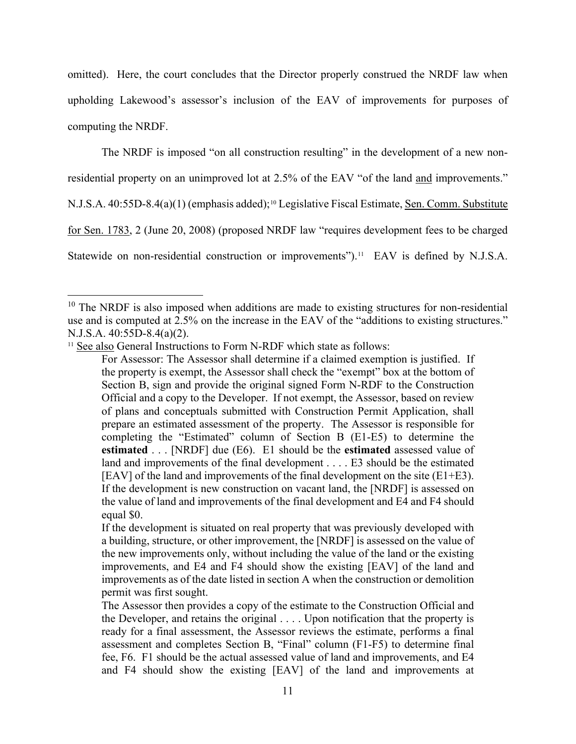omitted). Here, the court concludes that the Director properly construed the NRDF law when upholding Lakewood's assessor's inclusion of the EAV of improvements for purposes of computing the NRDF.

The NRDF is imposed "on all construction resulting" in the development of a new non-

residential property on an unimproved lot at 2.5% of the EAV "of the land and improvements."

N.J.S.A. 40:55D-8.4(a)(1) (emphasis added);<sup>[10](#page-10-0)</sup> Legislative Fiscal Estimate, <u>Sen. Comm. Substitute</u>

for Sen. 1783, 2 (June 20, 2008) (proposed NRDF law "requires development fees to be charged

Statewide on non-residential construction or improvements").<sup>[11](#page-10-1)</sup> EAV is defined by N.J.S.A.

<span id="page-10-1"></span>

<span id="page-10-0"></span><sup>&</sup>lt;sup>10</sup> The NRDF is also imposed when additions are made to existing structures for non-residential use and is computed at 2.5% on the increase in the EAV of the "additions to existing structures." N.J.S.A. 40:55D-8.4(a)(2).<br><sup>11</sup> See also General Instructions to Form N-RDF which state as follows:

For Assessor: The Assessor shall determine if a claimed exemption is justified. If the property is exempt, the Assessor shall check the "exempt" box at the bottom of Section B, sign and provide the original signed Form N-RDF to the Construction Official and a copy to the Developer. If not exempt, the Assessor, based on review of plans and conceptuals submitted with Construction Permit Application, shall prepare an estimated assessment of the property. The Assessor is responsible for completing the "Estimated" column of Section B (E1-E5) to determine the **estimated** . . . [NRDF] due (E6). E1 should be the **estimated** assessed value of land and improvements of the final development . . . . E3 should be the estimated [EAV] of the land and improvements of the final development on the site  $(E1+E3)$ . If the development is new construction on vacant land, the [NRDF] is assessed on the value of land and improvements of the final development and E4 and F4 should equal \$0.

If the development is situated on real property that was previously developed with a building, structure, or other improvement, the [NRDF] is assessed on the value of the new improvements only, without including the value of the land or the existing improvements, and E4 and F4 should show the existing [EAV] of the land and improvements as of the date listed in section A when the construction or demolition permit was first sought.

The Assessor then provides a copy of the estimate to the Construction Official and the Developer, and retains the original . . . . Upon notification that the property is ready for a final assessment, the Assessor reviews the estimate, performs a final assessment and completes Section B, "Final" column (F1-F5) to determine final fee, F6. F1 should be the actual assessed value of land and improvements, and E4 and F4 should show the existing [EAV] of the land and improvements at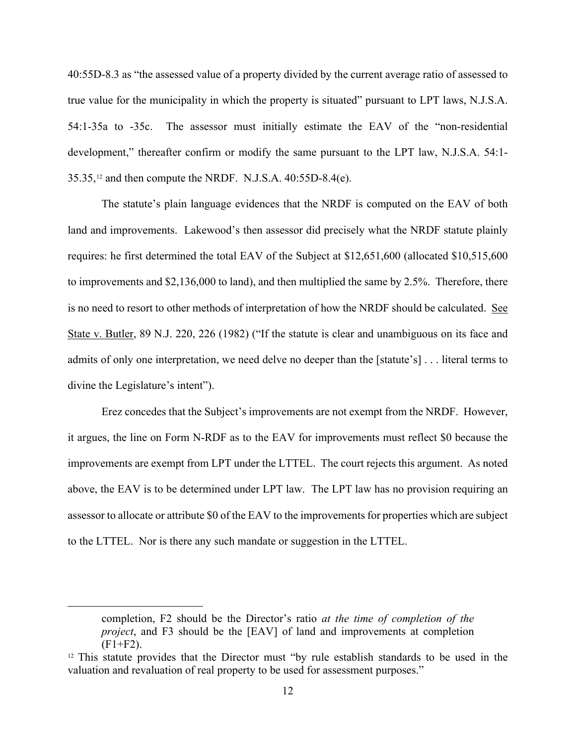40:55D-8.3 as "the assessed value of a property divided by the current average ratio of assessed to true value for the municipality in which the property is situated" pursuant to LPT laws, N.J.S.A. 54:1-35a to -35c. The assessor must initially estimate the EAV of the "non-residential development," thereafter confirm or modify the same pursuant to the LPT law, N.J.S.A. 54:1- 35.35,[12](#page-11-0) and then compute the NRDF. N.J.S.A. 40:55D-8.4(e).

The statute's plain language evidences that the NRDF is computed on the EAV of both land and improvements. Lakewood's then assessor did precisely what the NRDF statute plainly requires: he first determined the total EAV of the Subject at \$12,651,600 (allocated \$10,515,600 to improvements and \$2,136,000 to land), and then multiplied the same by 2.5%. Therefore, there is no need to resort to other methods of interpretation of how the NRDF should be calculated. See State v. Butler, 89 N.J. 220, 226 (1982) ("If the statute is clear and unambiguous on its face and admits of only one interpretation, we need delve no deeper than the [statute's] . . . literal terms to divine the Legislature's intent").

Erez concedes that the Subject's improvements are not exempt from the NRDF. However, it argues, the line on Form N-RDF as to the EAV for improvements must reflect \$0 because the improvements are exempt from LPT under the LTTEL. The court rejects this argument. As noted above, the EAV is to be determined under LPT law. The LPT law has no provision requiring an assessor to allocate or attribute \$0 of the EAV to the improvements for properties which are subject to the LTTEL. Nor is there any such mandate or suggestion in the LTTEL.

completion, F2 should be the Director's ratio *at the time of completion of the project*, and F3 should be the [EAV] of land and improvements at completion  $(F1 + F2)$ .

<span id="page-11-0"></span> $12$  This statute provides that the Director must "by rule establish standards to be used in the valuation and revaluation of real property to be used for assessment purposes."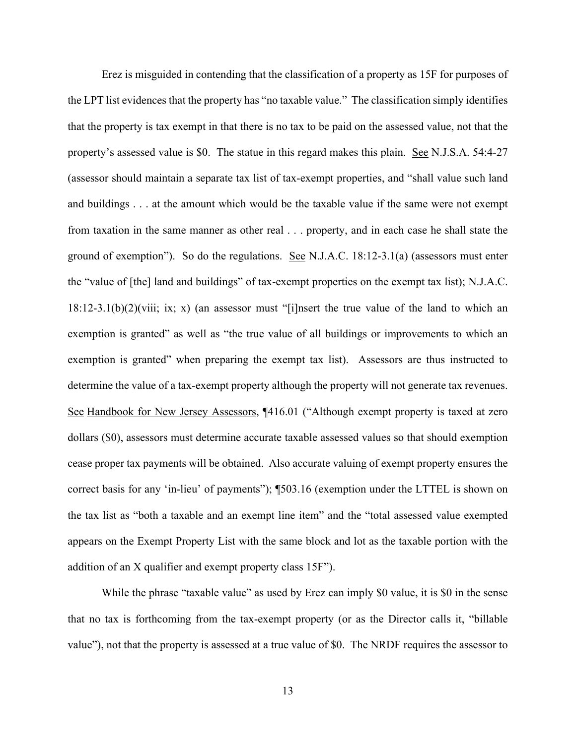Erez is misguided in contending that the classification of a property as 15F for purposes of the LPT list evidences that the property has "no taxable value." The classification simply identifies that the property is tax exempt in that there is no tax to be paid on the assessed value, not that the property's assessed value is \$0. The statue in this regard makes this plain. See N.J.S.A. 54:4-27 (assessor should maintain a separate tax list of tax-exempt properties, and "shall value such land and buildings . . . at the amount which would be the taxable value if the same were not exempt from taxation in the same manner as other real . . . property, and in each case he shall state the ground of exemption"). So do the regulations. See N.J.A.C. 18:12-3.1(a) (assessors must enter the "value of [the] land and buildings" of tax-exempt properties on the exempt tax list); N.J.A.C.  $18:12-3.1(b)(2)(viii; ix; x)$  (an assessor must "[i]nsert the true value of the land to which an exemption is granted" as well as "the true value of all buildings or improvements to which an exemption is granted" when preparing the exempt tax list). Assessors are thus instructed to determine the value of a tax-exempt property although the property will not generate tax revenues. See Handbook for New Jersey Assessors, ¶416.01 ("Although exempt property is taxed at zero dollars (\$0), assessors must determine accurate taxable assessed values so that should exemption cease proper tax payments will be obtained. Also accurate valuing of exempt property ensures the correct basis for any 'in-lieu' of payments"); ¶503.16 (exemption under the LTTEL is shown on the tax list as "both a taxable and an exempt line item" and the "total assessed value exempted appears on the Exempt Property List with the same block and lot as the taxable portion with the addition of an X qualifier and exempt property class 15F").

While the phrase "taxable value" as used by Erez can imply \$0 value, it is \$0 in the sense that no tax is forthcoming from the tax-exempt property (or as the Director calls it, "billable value"), not that the property is assessed at a true value of \$0. The NRDF requires the assessor to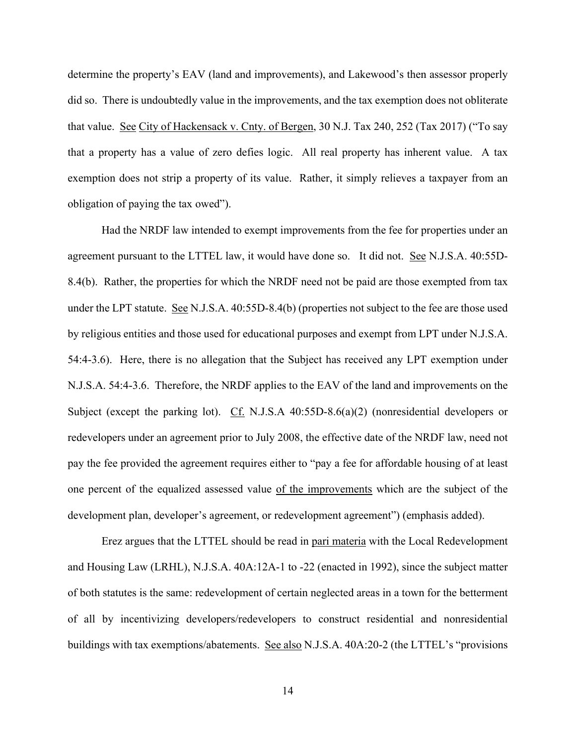determine the property's EAV (land and improvements), and Lakewood's then assessor properly did so. There is undoubtedly value in the improvements, and the tax exemption does not obliterate that value. See City of Hackensack v. Cnty. of Bergen, 30 N.J. Tax 240, 252 (Tax 2017) ("To say that a property has a value of zero defies logic. All real property has inherent value. A tax exemption does not strip a property of its value. Rather, it simply relieves a taxpayer from an obligation of paying the tax owed").

Had the NRDF law intended to exempt improvements from the fee for properties under an agreement pursuant to the LTTEL law, it would have done so. It did not. See N.J.S.A. 40:55D-8.4(b). Rather, the properties for which the NRDF need not be paid are those exempted from tax under the LPT statute. See N.J.S.A. 40:55D-8.4(b) (properties not subject to the fee are those used by religious entities and those used for educational purposes and exempt from LPT under N.J.S.A. 54:4-3.6). Here, there is no allegation that the Subject has received any LPT exemption under N.J.S.A. 54:4-3.6. Therefore, the NRDF applies to the EAV of the land and improvements on the Subject (except the parking lot). Cf. N.J.S.A 40:55D-8.6(a)(2) (nonresidential developers or redevelopers under an agreement prior to July 2008, the effective date of the NRDF law, need not pay the fee provided the agreement requires either to "pay a fee for affordable housing of at least one percent of the equalized assessed value of the improvements which are the subject of the development plan, developer's agreement, or redevelopment agreement") (emphasis added).

Erez argues that the LTTEL should be read in pari materia with the Local Redevelopment and Housing Law (LRHL), N.J.S.A. 40A:12A-1 to -22 (enacted in 1992), since the subject matter of both statutes is the same: redevelopment of certain neglected areas in a town for the betterment of all by incentivizing developers/redevelopers to construct residential and nonresidential buildings with tax exemptions/abatements. See also N.J.S.A. 40A:20-2 (the LTTEL's "provisions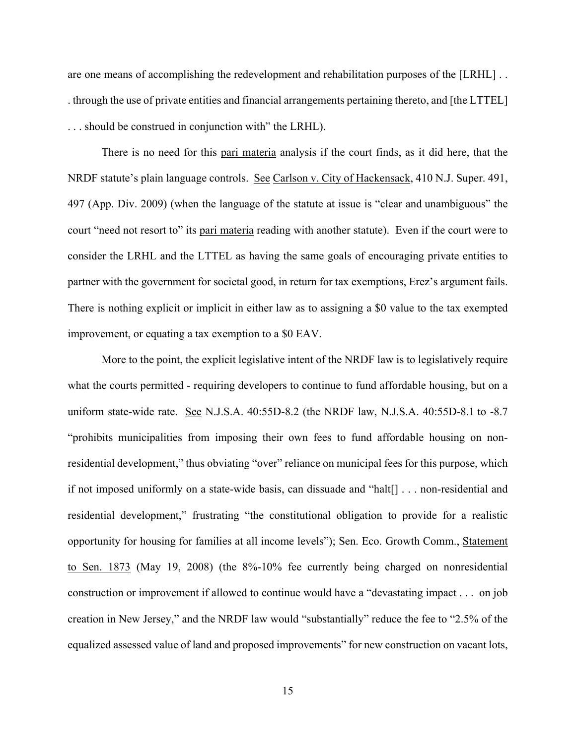are one means of accomplishing the redevelopment and rehabilitation purposes of the [LRHL] . . . through the use of private entities and financial arrangements pertaining thereto, and [the LTTEL] . . . should be construed in conjunction with" the LRHL).

There is no need for this pari materia analysis if the court finds, as it did here, that the NRDF statute's plain language controls. See Carlson v. City of Hackensack, 410 N.J. Super. 491, 497 (App. Div. 2009) (when the language of the statute at issue is "clear and unambiguous" the court "need not resort to" its pari materia reading with another statute). Even if the court were to consider the LRHL and the LTTEL as having the same goals of encouraging private entities to partner with the government for societal good, in return for tax exemptions, Erez's argument fails. There is nothing explicit or implicit in either law as to assigning a \$0 value to the tax exempted improvement, or equating a tax exemption to a \$0 EAV.

More to the point, the explicit legislative intent of the NRDF law is to legislatively require what the courts permitted - requiring developers to continue to fund affordable housing, but on a uniform state-wide rate. See N.J.S.A. 40:55D-8.2 (the NRDF law, N.J.S.A. 40:55D-8.1 to -8.7 "prohibits municipalities from imposing their own fees to fund affordable housing on nonresidential development," thus obviating "over" reliance on municipal fees for this purpose, which if not imposed uniformly on a state-wide basis, can dissuade and "halt[] . . . non-residential and residential development," frustrating "the constitutional obligation to provide for a realistic opportunity for housing for families at all income levels"); Sen. Eco. Growth Comm., Statement to Sen. 1873 (May 19, 2008) (the 8%-10% fee currently being charged on nonresidential construction or improvement if allowed to continue would have a "devastating impact . . . on job creation in New Jersey," and the NRDF law would "substantially" reduce the fee to "2.5% of the equalized assessed value of land and proposed improvements" for new construction on vacant lots,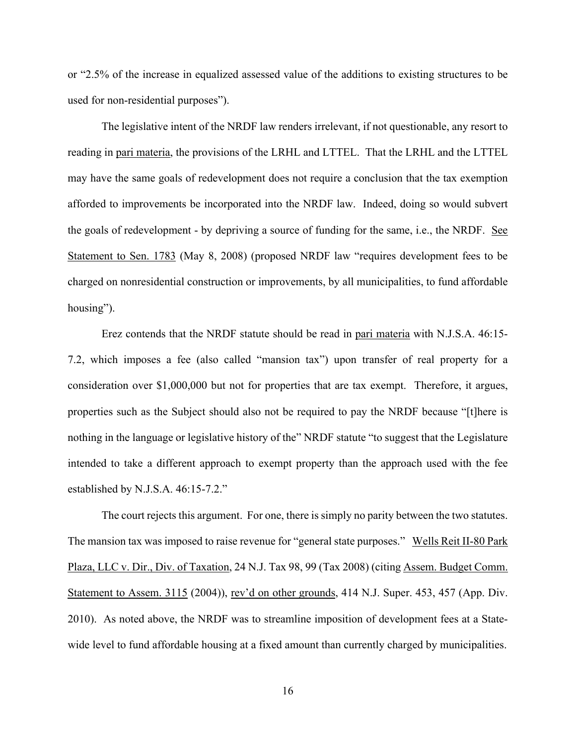or "2.5% of the increase in equalized assessed value of the additions to existing structures to be used for non-residential purposes").

The legislative intent of the NRDF law renders irrelevant, if not questionable, any resort to reading in pari materia, the provisions of the LRHL and LTTEL. That the LRHL and the LTTEL may have the same goals of redevelopment does not require a conclusion that the tax exemption afforded to improvements be incorporated into the NRDF law. Indeed, doing so would subvert the goals of redevelopment - by depriving a source of funding for the same, i.e., the NRDF. See Statement to Sen. 1783 (May 8, 2008) (proposed NRDF law "requires development fees to be charged on nonresidential construction or improvements, by all municipalities, to fund affordable housing").

Erez contends that the NRDF statute should be read in pari materia with N.J.S.A. 46:15- 7.2, which imposes a fee (also called "mansion tax") upon transfer of real property for a consideration over \$1,000,000 but not for properties that are tax exempt. Therefore, it argues, properties such as the Subject should also not be required to pay the NRDF because "[t]here is nothing in the language or legislative history of the" NRDF statute "to suggest that the Legislature intended to take a different approach to exempt property than the approach used with the fee established by N.J.S.A. 46:15-7.2."

The court rejects this argument. For one, there is simply no parity between the two statutes. The mansion tax was imposed to raise revenue for "general state purposes." Wells Reit II-80 Park Plaza, LLC v. Dir., Div. of Taxation, 24 N.J. Tax 98, 99 (Tax 2008) (citing Assem. Budget Comm. Statement to Assem. 3115 (2004)), rev'd on other grounds, 414 N.J. Super. 453, 457 (App. Div. 2010). As noted above, the NRDF was to streamline imposition of development fees at a Statewide level to fund affordable housing at a fixed amount than currently charged by municipalities.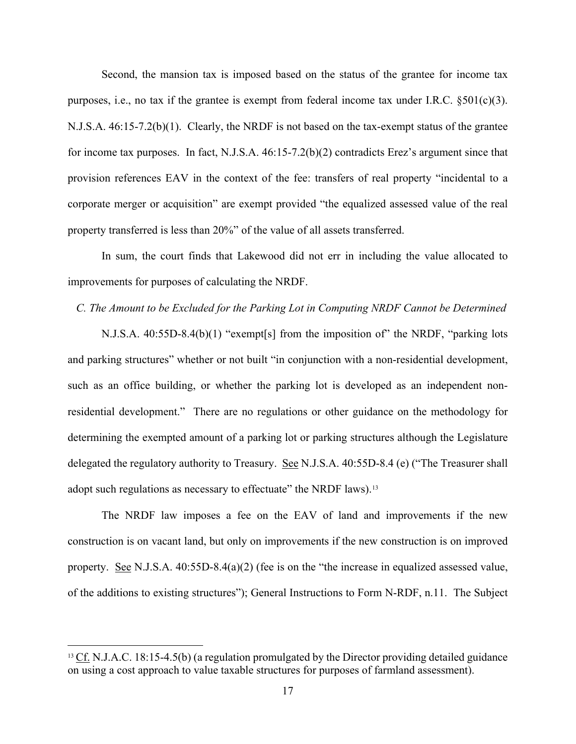Second, the mansion tax is imposed based on the status of the grantee for income tax purposes, i.e., no tax if the grantee is exempt from federal income tax under I.R.C.  $\S501(c)(3)$ . N.J.S.A. 46:15-7.2(b)(1). Clearly, the NRDF is not based on the tax-exempt status of the grantee for income tax purposes. In fact, N.J.S.A. 46:15-7.2(b)(2) contradicts Erez's argument since that provision references EAV in the context of the fee: transfers of real property "incidental to a corporate merger or acquisition" are exempt provided "the equalized assessed value of the real property transferred is less than 20%" of the value of all assets transferred.

In sum, the court finds that Lakewood did not err in including the value allocated to improvements for purposes of calculating the NRDF.

#### *C. The Amount to be Excluded for the Parking Lot in Computing NRDF Cannot be Determined*

N.J.S.A. 40:55D-8.4(b)(1) "exempt[s] from the imposition of" the NRDF, "parking lots and parking structures" whether or not built "in conjunction with a non-residential development, such as an office building, or whether the parking lot is developed as an independent nonresidential development." There are no regulations or other guidance on the methodology for determining the exempted amount of a parking lot or parking structures although the Legislature delegated the regulatory authority to Treasury. See N.J.S.A. 40:55D-8.4 (e) ("The Treasurer shall adopt such regulations as necessary to effectuate" the NRDF laws).<sup>[13](#page-16-0)</sup>

The NRDF law imposes a fee on the EAV of land and improvements if the new construction is on vacant land, but only on improvements if the new construction is on improved property. See N.J.S.A. 40:55D-8.4(a)(2) (fee is on the "the increase in equalized assessed value, of the additions to existing structures"); General Instructions to Form N-RDF, n.11. The Subject

<span id="page-16-0"></span><sup>&</sup>lt;sup>13</sup> Cf. N.J.A.C. 18:15-4.5(b) (a regulation promulgated by the Director providing detailed guidance on using a cost approach to value taxable structures for purposes of farmland assessment).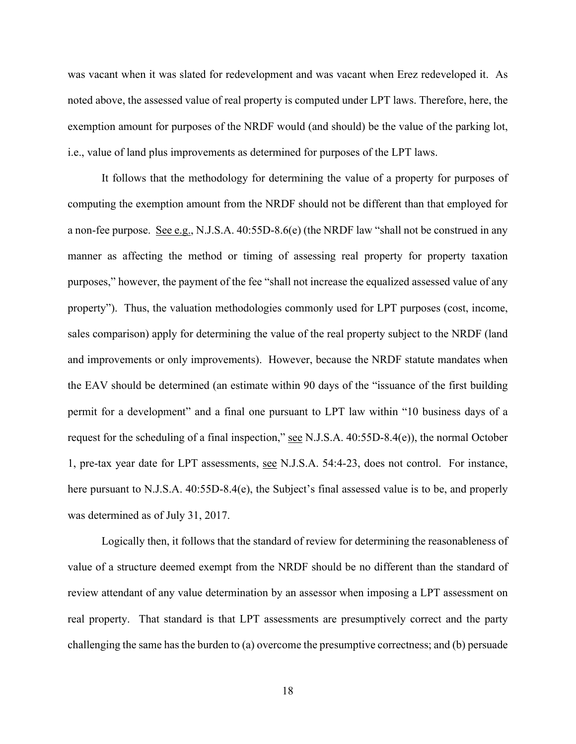was vacant when it was slated for redevelopment and was vacant when Erez redeveloped it. As noted above, the assessed value of real property is computed under LPT laws. Therefore, here, the exemption amount for purposes of the NRDF would (and should) be the value of the parking lot, i.e., value of land plus improvements as determined for purposes of the LPT laws.

It follows that the methodology for determining the value of a property for purposes of computing the exemption amount from the NRDF should not be different than that employed for a non-fee purpose. See e.g., N.J.S.A. 40:55D-8.6(e) (the NRDF law "shall not be construed in any manner as affecting the method or timing of assessing real property for property taxation purposes," however, the payment of the fee "shall not increase the equalized assessed value of any property"). Thus, the valuation methodologies commonly used for LPT purposes (cost, income, sales comparison) apply for determining the value of the real property subject to the NRDF (land and improvements or only improvements). However, because the NRDF statute mandates when the EAV should be determined (an estimate within 90 days of the "issuance of the first building permit for a development" and a final one pursuant to LPT law within "10 business days of a request for the scheduling of a final inspection," see N.J.S.A.  $40:55D-8.4(e)$ ), the normal October 1, pre-tax year date for LPT assessments, see N.J.S.A. 54:4-23, does not control. For instance, here pursuant to N.J.S.A. 40:55D-8.4(e), the Subject's final assessed value is to be, and properly was determined as of July 31, 2017.

Logically then, it follows that the standard of review for determining the reasonableness of value of a structure deemed exempt from the NRDF should be no different than the standard of review attendant of any value determination by an assessor when imposing a LPT assessment on real property. That standard is that LPT assessments are presumptively correct and the party challenging the same has the burden to (a) overcome the presumptive correctness; and (b) persuade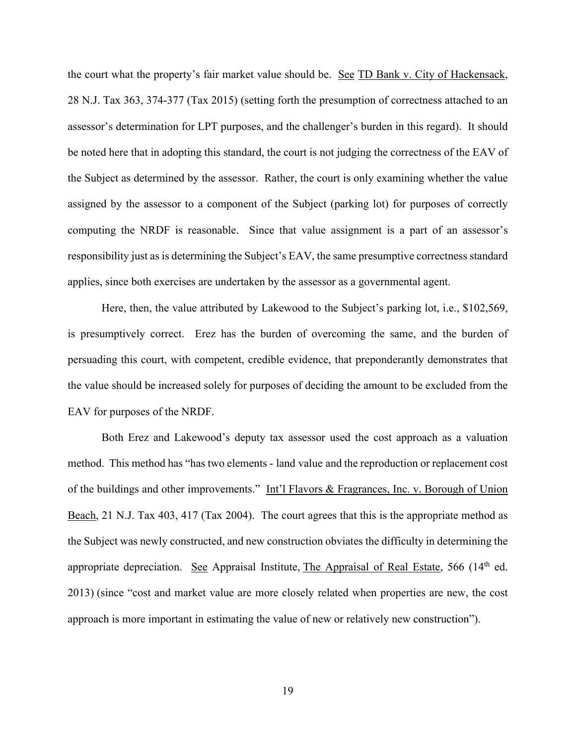the court what the property's fair market value should be. See TD Bank v. City of Hackensack, 28 N.J. Tax 363, 374-377 (Tax 2015) (setting forth the presumption of correctness attached to an assessor's determination for LPT purposes, and the challenger's burden in this regard). It should be noted here that in adopting this standard, the court is not judging the correctness of the EAV of the Subject as determined by the assessor. Rather, the court is only examining whether the value assigned by the assessor to a component of the Subject (parking lot) for purposes of correctly computing the NRDF is reasonable. Since that value assignment is a part of an assessor's responsibility just as is determining the Subject's EAV, the same presumptive correctness standard applies, since both exercises are undertaken by the assessor as a governmental agent.

Here, then, the value attributed by Lakewood to the Subject's parking lot, i.e., \$102,569, is presumptively correct. Erez has the burden of overcoming the same, and the burden of persuading this court, with competent, credible evidence, that preponderantly demonstrates that the value should be increased solely for purposes of deciding the amount to be excluded from the EAV for purposes of the NRDF.

Both Erez and Lakewood's deputy tax assessor used the cost approach as a valuation method. This method has "has two elements - land value and the reproduction or replacement cost of the buildings and other improvements." Int'l Flavors & Fragrances, Inc. v. Borough of Union Beach, 21 N.J. Tax 403, 417 (Tax 2004). The court agrees that this is the appropriate method as the Subject was newly constructed, and new construction obviates the difficulty in determining the appropriate depreciation. See Appraisal Institute, The Appraisal of Real Estate, 566 (14<sup>th</sup> ed. 2013) (since "cost and market value are more closely related when properties are new, the cost approach is more important in estimating the value of new or relatively new construction").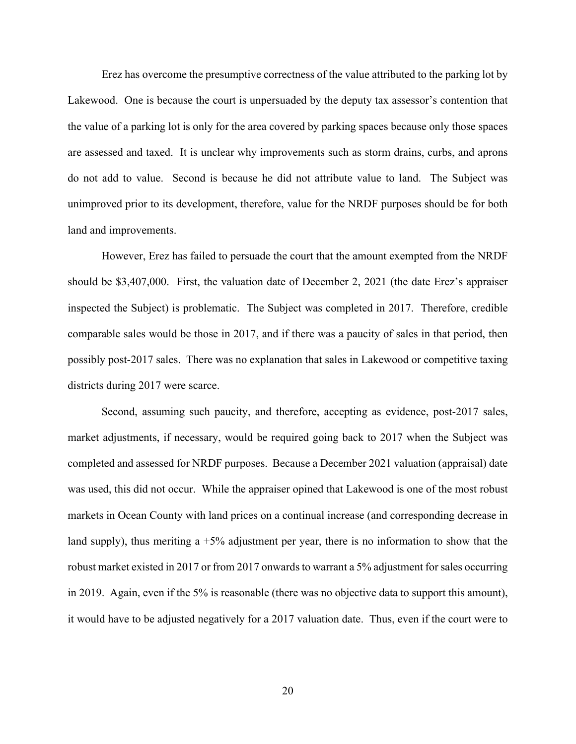Erez has overcome the presumptive correctness of the value attributed to the parking lot by Lakewood. One is because the court is unpersuaded by the deputy tax assessor's contention that the value of a parking lot is only for the area covered by parking spaces because only those spaces are assessed and taxed. It is unclear why improvements such as storm drains, curbs, and aprons do not add to value. Second is because he did not attribute value to land. The Subject was unimproved prior to its development, therefore, value for the NRDF purposes should be for both land and improvements.

However, Erez has failed to persuade the court that the amount exempted from the NRDF should be \$3,407,000. First, the valuation date of December 2, 2021 (the date Erez's appraiser inspected the Subject) is problematic. The Subject was completed in 2017. Therefore, credible comparable sales would be those in 2017, and if there was a paucity of sales in that period, then possibly post-2017 sales. There was no explanation that sales in Lakewood or competitive taxing districts during 2017 were scarce.

Second, assuming such paucity, and therefore, accepting as evidence, post-2017 sales, market adjustments, if necessary, would be required going back to 2017 when the Subject was completed and assessed for NRDF purposes. Because a December 2021 valuation (appraisal) date was used, this did not occur. While the appraiser opined that Lakewood is one of the most robust markets in Ocean County with land prices on a continual increase (and corresponding decrease in land supply), thus meriting a  $+5\%$  adjustment per year, there is no information to show that the robust market existed in 2017 or from 2017 onwards to warrant a 5% adjustment for sales occurring in 2019. Again, even if the 5% is reasonable (there was no objective data to support this amount), it would have to be adjusted negatively for a 2017 valuation date. Thus, even if the court were to